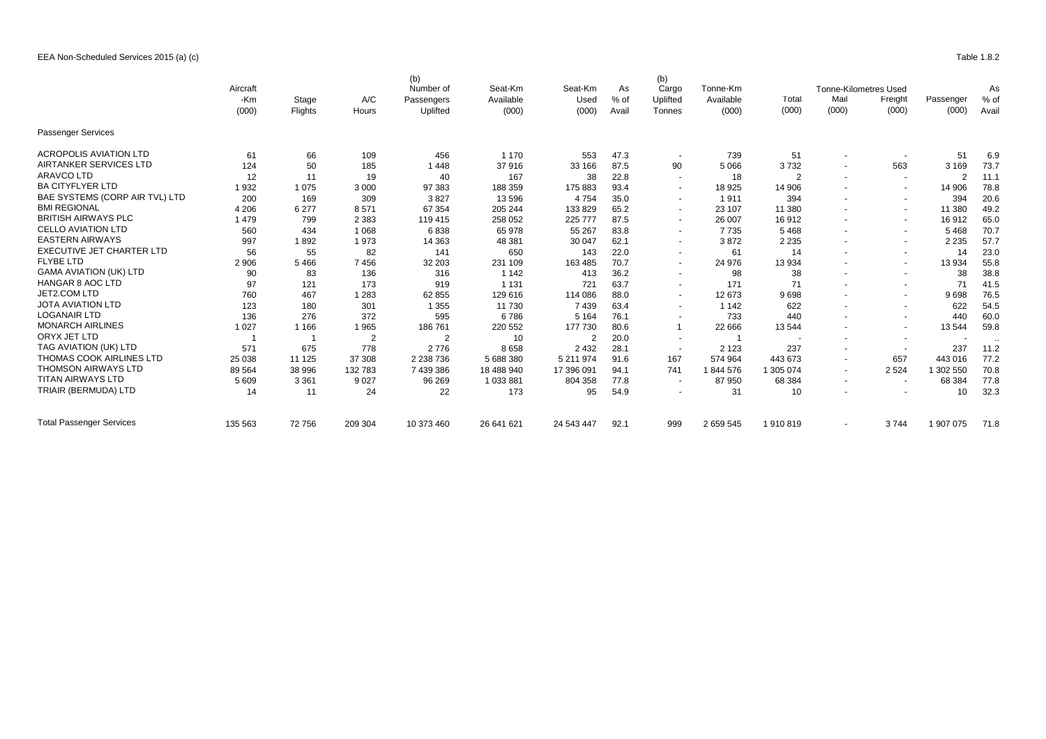## EEA Non-Scheduled Services 2015 (a) (c) Table 1.8.2

|                                  | Aircraft     |         |                | (b)<br>Number of<br>Passengers<br>Uplifted | Seat-Km<br>Available<br>(000) | Seat-Km<br>Used<br>(000) | As<br>$%$ of<br>Avail | (b)<br>Cargo<br>Uplifted<br>Tonnes | Tonne-Km<br>Available<br>(000) |                |                          | <b>Tonne-Kilometres Used</b><br>Freight<br>(000) |           | As<br>% of<br>Avail |
|----------------------------------|--------------|---------|----------------|--------------------------------------------|-------------------------------|--------------------------|-----------------------|------------------------------------|--------------------------------|----------------|--------------------------|--------------------------------------------------|-----------|---------------------|
|                                  | -Km<br>(000) | Stage   | A/C            |                                            |                               |                          |                       |                                    |                                | I otal         | Mail<br>(000)            |                                                  | Passenger |                     |
|                                  |              | Flights | Hours          |                                            |                               |                          |                       |                                    |                                | (000)          |                          |                                                  | (000)     |                     |
|                                  |              |         |                |                                            |                               |                          |                       |                                    |                                |                |                          |                                                  |           |                     |
| <b>Passenger Services</b>        |              |         |                |                                            |                               |                          |                       |                                    |                                |                |                          |                                                  |           |                     |
| <b>ACROPOLIS AVIATION LTD</b>    | 61           | 66      | 109            | 456                                        | 1 1 7 0                       | 553                      | 47.3                  | $\sim$                             | 739                            | 51             | $\sim$                   |                                                  | 51        | 6.9                 |
| AIRTANKER SERVICES LTD           | 124          | 50      | 185            | 1448                                       | 37916                         | 33 166                   | 87.5                  | 90                                 | 5 0 6 6                        | 3732           |                          | 563                                              | 3 1 6 9   | 73.7                |
| <b>ARAVCO LTD</b>                | 12           | 11      | 19             | 40                                         | 167                           | 38                       | 22.8                  | $\overline{\phantom{a}}$           | 18                             | $\overline{2}$ | $\sim$                   | $\overline{\phantom{a}}$                         | -2        | 11.1                |
| <b>BA CITYFLYER LTD</b>          | 1932         | 1075    | 3 0 0 0        | 97 383                                     | 188 359                       | 175 883                  | 93.4                  | $\overline{\phantom{a}}$           | 18 9 25                        | 14 906         | $\sim$                   | $\sim$                                           | 14 906    | 78.8                |
| BAE SYSTEMS (CORP AIR TVL) LTD   | 200          | 169     | 309            | 3827                                       | 13 5 96                       | 4754                     | 35.0                  |                                    | 1911                           | 394            |                          | $\sim$                                           | 394       | 20.6                |
| <b>BMI REGIONAL</b>              | 4 2 0 6      | 6 277   | 8571           | 67 354                                     | 205 244                       | 133 829                  | 65.2                  |                                    | 23 107                         | 11 380         |                          | $\sim$                                           | 11 380    | 49.2                |
| <b>BRITISH AIRWAYS PLC</b>       | 1479         | 799     | 2 3 8 3        | 119 415                                    | 258 052                       | 225 777                  | 87.5                  |                                    | 26 007                         | 16 912         |                          | $\sim$                                           | 16 912    | 65.0                |
| <b>CELLO AVIATION LTD</b>        | 560          | 434     | 1 0 6 8        | 6838                                       | 65 978                        | 55 267                   | 83.8                  | $\sim$                             | 7 7 3 5                        | 5468           |                          | $\overline{\phantom{a}}$                         | 5 4 6 8   | 70.7                |
| <b>EASTERN AIRWAYS</b>           | 997          | 1892    | 1973           | 14 3 63                                    | 48 381                        | 30 047                   | 62.1                  | $\sim$                             | 3872                           | 2 2 3 5        | $\sim$                   | $\overline{\phantom{a}}$                         | 2 2 3 5   | 57.7                |
| <b>EXECUTIVE JET CHARTER LTD</b> | 56           | 55      | 82             | 141                                        | 650                           | 143                      | 22.0                  | $\sim$                             | 61                             | 14             |                          | $\sim$                                           | 14        | 23.0                |
| <b>FLYBE LTD</b>                 | 2 9 0 6      | 5466    | 7456           | 32 203                                     | 231 109                       | 163 485                  | 70.7                  | $\overline{\phantom{a}}$           | 24 976                         | 13 934         |                          | $\sim$                                           | 13 9 34   | 55.8                |
| <b>GAMA AVIATION (UK) LTD</b>    | 90           | 83      | 136            | 316                                        | 1 1 4 2                       | 413                      | 36.2                  | $\overline{\phantom{a}}$           | 98                             | 38             |                          | $\sim$                                           | 38        | 38.8                |
| <b>HANGAR 8 AOC LTD</b>          | 97           | 121     | 173            | 919                                        | 1 1 3 1                       | 721                      | 63.7                  | $\overline{\phantom{a}}$           | 171                            | 71             | $\sim$                   | $\sim$                                           | 71        | 41.5                |
| JET2.COM LTD                     | 760          | 467     | 1 2 8 3        | 62 855                                     | 129 616                       | 114 086                  | 88.0                  | $\overline{\phantom{a}}$           | 12 673                         | 9698           |                          | $\sim$                                           | 9698      | 76.5                |
| <b>JOTA AVIATION LTD</b>         | 123          | 180     | 301            | 1 3 5 5                                    | 11 730                        | 7439                     | 63.4                  | $\sim$                             | 1 1 4 2                        | 622            |                          | $\sim$                                           | 622       | 54.5                |
| <b>LOGANAIR LTD</b>              | 136          | 276     | 372            | 595                                        | 6786                          | 5 1 6 4                  | 76.1                  | $\overline{\phantom{a}}$           | 733                            | 440            |                          | $\sim$                                           | 440       | 60.0                |
| <b>MONARCH AIRLINES</b>          | 1 0 2 7      | 1 1 6 6 | 1 9 6 5        | 186 761                                    | 220 552                       | 177 730                  | 80.6                  |                                    | 22 666                         | 13 544         |                          | $\sim$                                           | 13 544    | 59.8                |
| ORYX JET LTD                     |              |         | $\overline{2}$ | $\overline{2}$                             | 10                            | $\overline{2}$           | 20.0                  | $\overline{\phantom{a}}$           |                                |                | $\sim$                   | $\sim$                                           |           | .                   |
| TAG AVIATION (UK) LTD            | 571          | 675     | 778            | 2776                                       | 8658                          | 2 4 3 2                  | 28.1                  | $\sim$                             | 2 1 2 3                        | 237            |                          | $\overline{\phantom{a}}$                         | 237       | 11.2                |
| THOMAS COOK AIRLINES LTD         | 25 038       | 11 1 25 | 37 308         | 2 2 38 7 36                                | 5 688 380                     | 5 211 974                | 91.6                  | 167                                | 574 964                        | 443 673        | $\sim$                   | 657                                              | 443 016   | 77.2                |
| <b>THOMSON AIRWAYS LTD</b>       | 89 564       | 38 996  | 132 783        | 7 439 386                                  | 18 488 940                    | 17 396 091               | 94.1                  | 741                                | 1844 576                       | 305 074        | $\sim$                   | 2 5 2 4                                          | 1 302 550 | 70.8                |
| <b>TITAN AIRWAYS LTD</b>         | 5 6 0 9      | 3 3 6 1 | 9 0 27         | 96 269                                     | 1 033 881                     | 804 358                  | 77.8                  | . .                                | 87 950                         | 68 384         | $\overline{\phantom{a}}$ | $\overline{\phantom{a}}$                         | 68 384    | 77.8                |
| TRIAIR (BERMUDA) LTD             | 14           | 11      | 24             | 22                                         | 173                           | 95                       | 54.9                  | $\overline{\phantom{a}}$           | 31                             | 10             |                          |                                                  | 10        | 32.3                |
| <b>Total Passenger Services</b>  | 135 563      | 72756   | 209 304        | 10 373 460                                 | 26 641 621                    | 24 543 447               | 92.1                  | 999                                | 2 659 545                      | 1910819        |                          | 3744                                             | 1 907 075 | 71.8                |